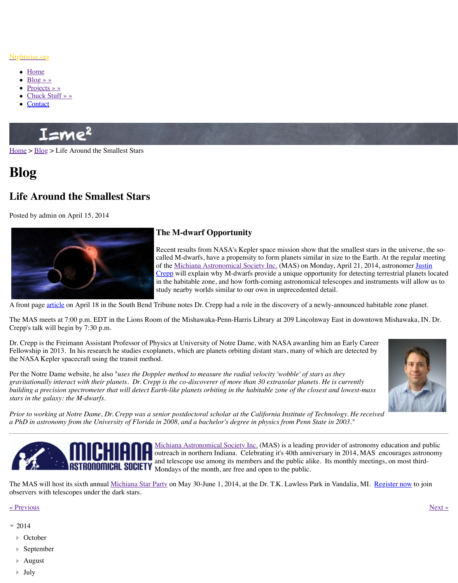

## **The M-dwarf Opportunity**

Recent results from NASA's Kepler space called M-dwarfs, have a propensity to form planets size to the earth. At the Earth. At the Earth. At the regular method. At the Called M-dwarfs, have a propensity to form  $\alpha$ of the Michiana Astronomical Society In Crepp will explain why M-dwarfs provide in the habitable zone, and how forth-com study nearby worlds similar to our own in

A fro[nt page](http://www.nightwise.org/) <u>article</u> on April 18 in the South Bend Tribune notes Dr. Crepp had a role in the

The [MAS meets a](http://www.nightwise.org/projects/)t 7:00 p.m. EDT in the Lions Room of the Mishawaka-Penn-Harris Library Crep[p's talk will begin](http://www.nightwise.org/chuck-stuff/) by 7:30 p.m.

Dr. Crepp is the Freimann Assistant Professor of Physics at University of Notre Dame, with Fellowship in 2013. In his research he studies exoplanets, which are planets orbiting distant the NASA Kepler spacecraft using the transit method.

Per the Notre Dame website, he also "*uses the Doppler method to measure the radial velocit [gravita](http://www.nightwise.org/)t[ionall](http://www.nightwise.org/blog/)y interact with their planets. Dr. Crepp is the co-discoverer of more than 30 ex building a precision spectrometer that will detect Earth-like planets orbiting in the habitable stars in the galaxy: the M-dwarfs.*

*Prior to working at Notre Dame, Dr. Crepp was a senior postdoctoral scholar at the Califor. a PhD in astronomy from the University of Florida in 2008, and a bachelor's degree in physics from Penn State in 2003."*



Michiana Astronomical Society Inc. (MA outreach in northern Indiana. Celebrating and telescope use among its members and Mondays of the month, are free and open

The MAS will host its sixth annual Michiana Star Party on May 30-June 1, 2014, at the Dr. I observers with telescopes under the dark stars.

## « Previous » [N](http://physics.nd.edu/people/faculty/justin-r-crepp/)ext » Next » Next » Next » Next » Next » Next » Next » Next » Next » Next » Next » Next » Next » Next » Next » Next » Next » Next » Next » Next » Next » Next » Next » Next » Next » Next » Next » Next » Next »

- $= 2014$ 
	- Octobe[r](http://www.southbendtribune.com/news/education/nd-professor-helped-discover-earth-like-planet/article_284ce7a6-c68d-11e3-8ed0-001a4bcf6878.html)
	- September
	- August
	- July